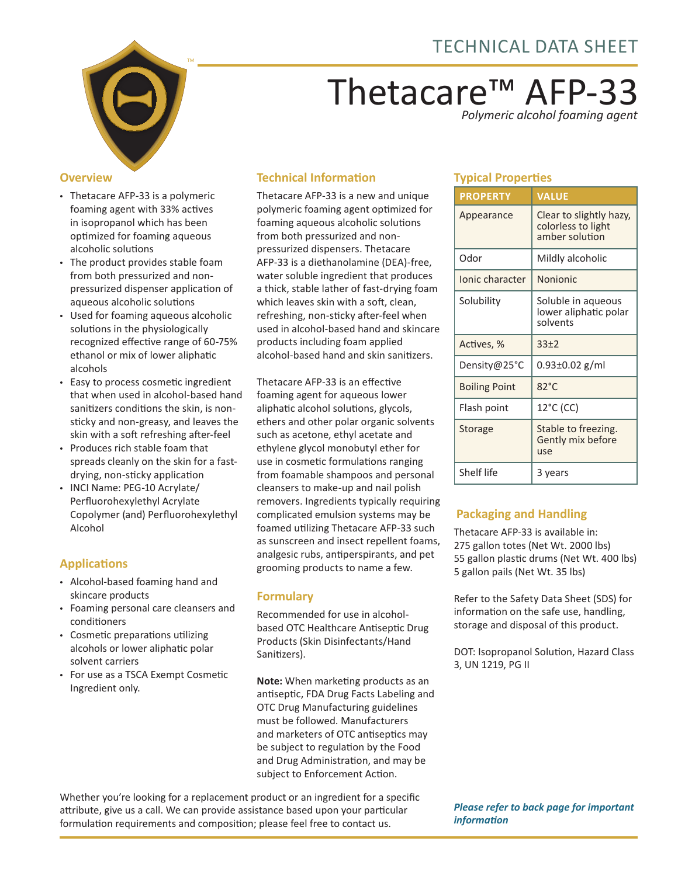

# Thetacare™ AFP-33 *Polymeric alcohol foaming agent*

#### **Overview**

- Thetacare AFP-33 is a polymeric foaming agent with 33% actives in isopropanol which has been optimized for foaming aqueous alcoholic solutions
- The product provides stable foam from both pressurized and nonpressurized dispenser application of aqueous alcoholic solutions
- Used for foaming aqueous alcoholic solutions in the physiologically recognized effective range of 60-75% ethanol or mix of lower aliphatic alcohols
- Easy to process cosmetic ingredient that when used in alcohol-based hand sanitizers conditions the skin, is nonsticky and non-greasy, and leaves the skin with a soft refreshing after-feel
- Produces rich stable foam that spreads cleanly on the skin for a fastdrying, non-sticky application
- INCI Name: PEG-10 Acrylate/ Perfluorohexylethyl Acrylate Copolymer (and) Perfluorohexylethyl Alcohol

## **Applications**

- Alcohol-based foaming hand and skincare products
- Foaming personal care cleansers and conditioners
- Cosmetic preparations utilizing alcohols or lower aliphatic polar solvent carriers
- For use as a TSCA Exempt Cosmetic Ingredient only.

## **Technical Information**

Thetacare AFP-33 is a new and unique polymeric foaming agent optimized for foaming aqueous alcoholic solutions from both pressurized and nonpressurized dispensers. Thetacare AFP-33 is a diethanolamine (DEA)-free, water soluble ingredient that produces a thick, stable lather of fast-drying foam which leaves skin with a soft, clean, refreshing, non-sticky after-feel when used in alcohol-based hand and skincare products including foam applied alcohol-based hand and skin sanitizers.

Thetacare AFP-33 is an effective foaming agent for aqueous lower aliphatic alcohol solutions, glycols, ethers and other polar organic solvents such as acetone, ethyl acetate and ethylene glycol monobutyl ether for use in cosmetic formulations ranging from foamable shampoos and personal cleansers to make-up and nail polish removers. Ingredients typically requiring complicated emulsion systems may be foamed utilizing Thetacare AFP-33 such as sunscreen and insect repellent foams, analgesic rubs, antiperspirants, and pet grooming products to name a few.

### **Formulary**

Recommended for use in alcoholbased OTC Healthcare Antiseptic Drug Products (Skin Disinfectants/Hand Sanitizers).

**Note:** When marketing products as an antiseptic, FDA Drug Facts Labeling and OTC Drug Manufacturing guidelines must be followed. Manufacturers and marketers of OTC antiseptics may be subject to regulation by the Food and Drug Administration, and may be subject to Enforcement Action.

Whether you're looking for a replacement product or an ingredient for a specific attribute, give us a call. We can provide assistance based upon your particular formulation requirements and composition; please feel free to contact us.

## **Typical Properties**

| <b>PROPERTY</b>      | <b>VALUE</b>                                                    |  |
|----------------------|-----------------------------------------------------------------|--|
| Appearance           | Clear to slightly hazy,<br>colorless to light<br>amber solution |  |
| Odor                 | Mildly alcoholic                                                |  |
| Ionic character      | Nonionic                                                        |  |
| Solubility           | Soluble in aqueous<br>lower aliphatic polar<br>solvents         |  |
| Actives, %           | $33+2$                                                          |  |
| Density@25°C         | 0.93±0.02 g/ml                                                  |  |
| <b>Boiling Point</b> | $82^{\circ}$ C                                                  |  |
| Flash point          | 12°C (CC)                                                       |  |
| Storage              | Stable to freezing.<br>Gently mix before<br>use                 |  |
| Shelf life           | 3 years                                                         |  |

## **Packaging and Handling**

Thetacare AFP-33 is available in: 275 gallon totes (Net Wt. 2000 lbs) 55 gallon plastic drums (Net Wt. 400 lbs) 5 gallon pails (Net Wt. 35 lbs)

Refer to the Safety Data Sheet (SDS) for information on the safe use, handling, storage and disposal of this product.

DOT: Isopropanol Solution, Hazard Class 3, UN 1219, PG II

#### *Please refer to back page for important information*